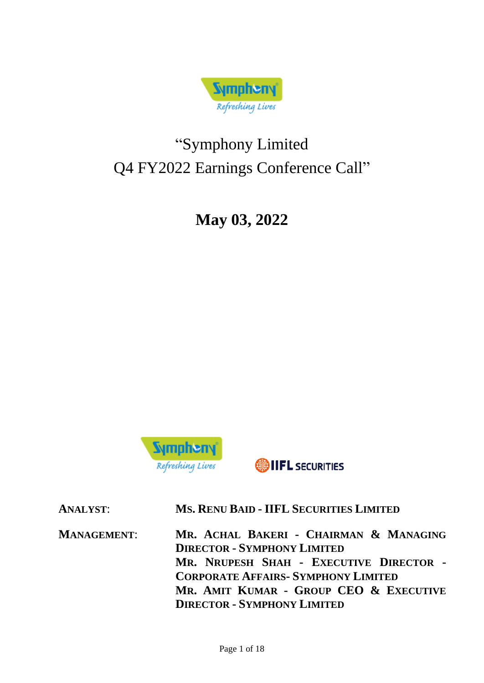

# "Symphony Limited Q4 FY2022 Earnings Conference Call"

**May 03, 2022**



**ONIFL** SECURITIES

| <b>ANALYST:</b>    | MS. RENU BAID - IIFL SECURITIES LIMITED                                                                                                                                                                                                               |
|--------------------|-------------------------------------------------------------------------------------------------------------------------------------------------------------------------------------------------------------------------------------------------------|
| <b>MANAGEMENT:</b> | MR. ACHAL BAKERI - CHAIRMAN & MANAGING<br><b>DIRECTOR - SYMPHONY LIMITED</b><br>MR. NRUPESH SHAH - EXECUTIVE DIRECTOR -<br><b>CORPORATE AFFAIRS- SYMPHONY LIMITED</b><br>MR. AMIT KUMAR - GROUP CEO & EXECUTIVE<br><b>DIRECTOR - SYMPHONY LIMITED</b> |
|                    |                                                                                                                                                                                                                                                       |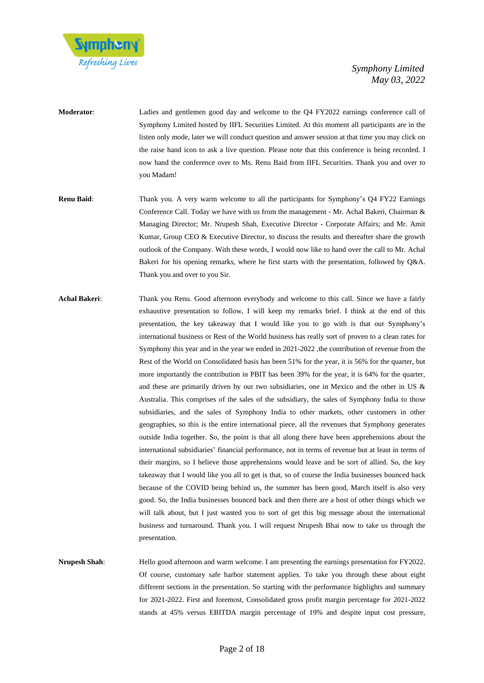

- **Moderator**: Ladies and gentlemen good day and welcome to the Q4 FY2022 earnings conference call of Symphony Limited hosted by IIFL Securities Limited. At this moment all participants are in the listen only mode, later we will conduct question and answer session at that time you may click on the raise hand icon to ask a live question. Please note that this conference is being recorded. I now hand the conference over to Ms. Renu Baid from IIFL Securities. Thank you and over to you Madam!
- **Renu Baid**: Thank you. A very warm welcome to all the participants for Symphony's Q4 FY22 Earnings Conference Call. Today we have with us from the management - Mr. Achal Bakeri, Chairman & Managing Director; Mr. Nrupesh Shah, Executive Director - Corporate Affairs; and Mr. Amit Kumar, Group CEO & Executive Director, to discuss the results and thereafter share the growth outlook of the Company. With these words, I would now like to hand over the call to Mr. Achal Bakeri for his opening remarks, where he first starts with the presentation, followed by Q&A. Thank you and over to you Sir.
- **Achal Bakeri**: Thank you Renu. Good afternoon everybody and welcome to this call. Since we have a fairly exhaustive presentation to follow, I will keep my remarks brief. I think at the end of this presentation, the key takeaway that I would like you to go with is that our Symphony's international business or Rest of the World business has really sort of proven to a clean rates for Symphony this year and in the year we ended in 2021-2022 , the contribution of revenue from the Rest of the World on Consolidated basis has been 51% for the year, it is 56% for the quarter, but more importantly the contribution in PBIT has been 39% for the year, it is 64% for the quarter, and these are primarily driven by our two subsidiaries, one in Mexico and the other in US & Australia. This comprises of the sales of the subsidiary, the sales of Symphony India to those subsidiaries, and the sales of Symphony India to other markets, other customers in other geographies, so this is the entire international piece, all the revenues that Symphony generates outside India together. So, the point is that all along there have been apprehensions about the international subsidiaries' financial performance, not in terms of revenue but at least in terms of their margins, so I believe those apprehensions would leave and be sort of allied. So, the key takeaway that I would like you all to get is that, so of course the India businesses bounced back because of the COVID being behind us, the summer has been good, March itself is also very good. So, the India businesses bounced back and then there are a host of other things which we will talk about, but I just wanted you to sort of get this big message about the international business and turnaround. Thank you. I will request Nrupesh Bhai now to take us through the presentation.
- **Nrupesh Shah**: Hello good afternoon and warm welcome. I am presenting the earnings presentation for FY2022. Of course, customary safe harbor statement applies. To take you through these about eight different sections in the presentation. So starting with the performance highlights and summary for 2021-2022. First and foremost, Consolidated gross profit margin percentage for 2021-2022 stands at 45% versus EBITDA margin percentage of 19% and despite input cost pressure,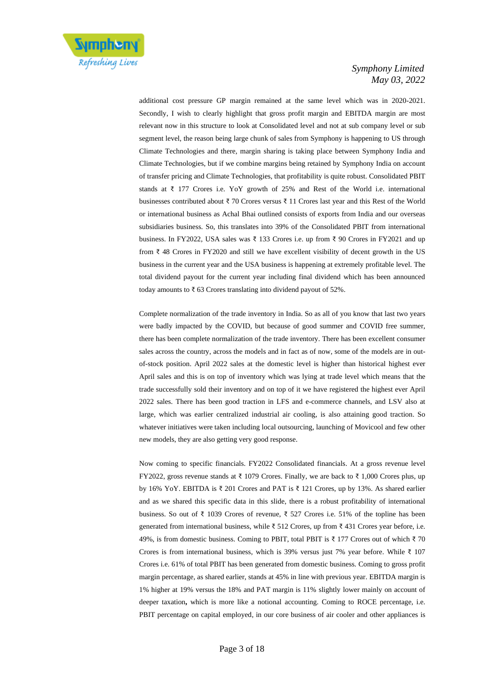

additional cost pressure GP margin remained at the same level which was in 2020-2021. Secondly, I wish to clearly highlight that gross profit margin and EBITDA margin are most relevant now in this structure to look at Consolidated level and not at sub company level or sub segment level, the reason being large chunk of sales from Symphony is happening to US through Climate Technologies and there, margin sharing is taking place between Symphony India and Climate Technologies, but if we combine margins being retained by Symphony India on account of transfer pricing and Climate Technologies, that profitability is quite robust. Consolidated PBIT stands at ₹ 177 Crores i.e. YoY growth of 25% and Rest of the World i.e. international businesses contributed about ₹ 70 Crores versus ₹ 11 Crores last year and this Rest of the World or international business as Achal Bhai outlined consists of exports from India and our overseas subsidiaries business. So, this translates into 39% of the Consolidated PBIT from international business. In FY2022, USA sales was ₹ 133 Crores i.e. up from ₹ 90 Crores in FY2021 and up from ₹ 48 Crores in FY2020 and still we have excellent visibility of decent growth in the US business in the current year and the USA business is happening at extremely profitable level. The total dividend payout for the current year including final dividend which has been announced today amounts to ₹ 63 Crores translating into dividend payout of 52%.

Complete normalization of the trade inventory in India. So as all of you know that last two years were badly impacted by the COVID, but because of good summer and COVID free summer, there has been complete normalization of the trade inventory. There has been excellent consumer sales across the country, across the models and in fact as of now, some of the models are in outof-stock position. April 2022 sales at the domestic level is higher than historical highest ever April sales and this is on top of inventory which was lying at trade level which means that the trade successfully sold their inventory and on top of it we have registered the highest ever April 2022 sales. There has been good traction in LFS and e-commerce channels, and LSV also at large, which was earlier centralized industrial air cooling, is also attaining good traction. So whatever initiatives were taken including local outsourcing, launching of Movicool and few other new models, they are also getting very good response.

Now coming to specific financials. FY2022 Consolidated financials. At a gross revenue level FY2022, gross revenue stands at ₹ 1079 Crores. Finally, we are back to ₹ 1,000 Crores plus, up by 16% YoY. EBITDA is  $\bar{\xi}$  201 Crores and PAT is  $\bar{\xi}$  121 Crores, up by 13%. As shared earlier and as we shared this specific data in this slide, there is a robust profitability of international business. So out of ₹ 1039 Crores of revenue, ₹ 527 Crores i.e. 51% of the topline has been generated from international business, while ₹ 512 Crores, up from ₹ 431 Crores year before, i.e. 49%, is from domestic business. Coming to PBIT, total PBIT is  $\bar{\xi}$  177 Crores out of which  $\bar{\xi}$  70 Crores is from international business, which is 39% versus just 7% year before. While  $\bar{\tau}$  107 Crores i.e. 61% of total PBIT has been generated from domestic business. Coming to gross profit margin percentage, as shared earlier, stands at 45% in line with previous year. EBITDA margin is 1% higher at 19% versus the 18% and PAT margin is 11% slightly lower mainly on account of deeper taxation**,** which is more like a notional accounting. Coming to ROCE percentage, i.e. PBIT percentage on capital employed, in our core business of air cooler and other appliances is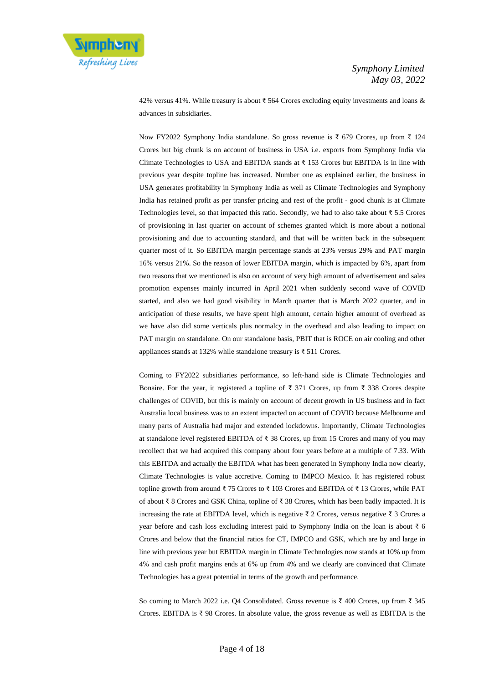

42% versus 41%. While treasury is about ₹ 564 Crores excluding equity investments and loans & advances in subsidiaries.

Now FY2022 Symphony India standalone. So gross revenue is ₹ 679 Crores, up from ₹ 124 Crores but big chunk is on account of business in USA i.e. exports from Symphony India via Climate Technologies to USA and EBITDA stands at  $\bar{\tau}$  153 Crores but EBITDA is in line with previous year despite topline has increased. Number one as explained earlier, the business in USA generates profitability in Symphony India as well as Climate Technologies and Symphony India has retained profit as per transfer pricing and rest of the profit - good chunk is at Climate Technologies level, so that impacted this ratio. Secondly, we had to also take about  $\bar{\tau}$  5.5 Crores of provisioning in last quarter on account of schemes granted which is more about a notional provisioning and due to accounting standard, and that will be written back in the subsequent quarter most of it. So EBITDA margin percentage stands at 23% versus 29% and PAT margin 16% versus 21%. So the reason of lower EBITDA margin, which is impacted by 6%, apart from two reasons that we mentioned is also on account of very high amount of advertisement and sales promotion expenses mainly incurred in April 2021 when suddenly second wave of COVID started, and also we had good visibility in March quarter that is March 2022 quarter, and in anticipation of these results, we have spent high amount, certain higher amount of overhead as we have also did some verticals plus normalcy in the overhead and also leading to impact on PAT margin on standalone. On our standalone basis, PBIT that is ROCE on air cooling and other appliances stands at 132% while standalone treasury is ₹ 511 Crores.

Coming to FY2022 subsidiaries performance, so left-hand side is Climate Technologies and Bonaire. For the year, it registered a topline of  $\bar{\tau}$  371 Crores, up from  $\bar{\tau}$  338 Crores despite challenges of COVID, but this is mainly on account of decent growth in US business and in fact Australia local business was to an extent impacted on account of COVID because Melbourne and many parts of Australia had major and extended lockdowns. Importantly, Climate Technologies at standalone level registered EBITDA of ₹ 38 Crores, up from 15 Crores and many of you may recollect that we had acquired this company about four years before at a multiple of 7.33. With this EBITDA and actually the EBITDA what has been generated in Symphony India now clearly, Climate Technologies is value accretive. Coming to IMPCO Mexico. It has registered robust topline growth from around ₹ 75 Crores to ₹ 103 Crores and EBITDA of ₹ 13 Crores, while PAT of about ₹ 8 Crores and GSK China, topline of ₹ 38 Crores**,** which has been badly impacted. It is increasing the rate at EBITDA level, which is negative ₹ 2 Crores, versus negative ₹ 3 Crores a year before and cash loss excluding interest paid to Symphony India on the loan is about ₹ 6 Crores and below that the financial ratios for CT, IMPCO and GSK, which are by and large in line with previous year but EBITDA margin in Climate Technologies now stands at 10% up from 4% and cash profit margins ends at 6% up from 4% and we clearly are convinced that Climate Technologies has a great potential in terms of the growth and performance.

So coming to March 2022 i.e. Q4 Consolidated. Gross revenue is ₹ 400 Crores, up from ₹ 345 Crores. EBITDA is ₹ 98 Crores. In absolute value, the gross revenue as well as EBITDA is the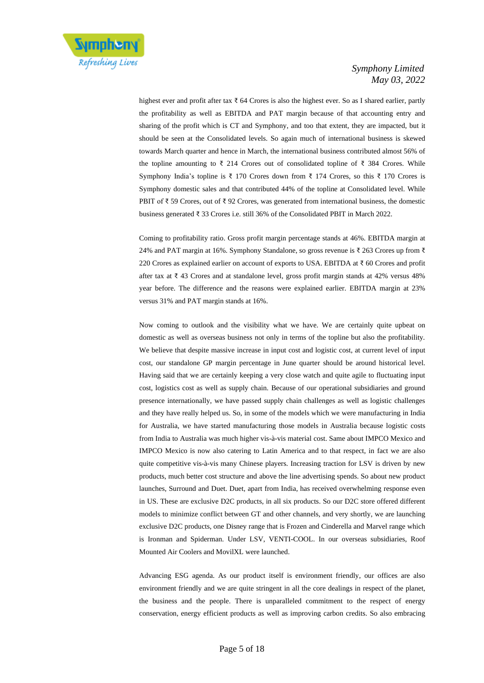

highest ever and profit after tax ₹ 64 Crores is also the highest ever. So as I shared earlier, partly the profitability as well as EBITDA and PAT margin because of that accounting entry and sharing of the profit which is CT and Symphony, and too that extent, they are impacted, but it should be seen at the Consolidated levels. So again much of international business is skewed towards March quarter and hence in March, the international business contributed almost 56% of the topline amounting to  $\bar{\xi}$  214 Crores out of consolidated topline of  $\bar{\xi}$  384 Crores. While Symphony India's topline is ₹ 170 Crores down from ₹ 174 Crores, so this ₹ 170 Crores is Symphony domestic sales and that contributed 44% of the topline at Consolidated level. While PBIT of  $\bar{\tau}$  59 Crores, out of  $\bar{\tau}$  92 Crores, was generated from international business, the domestic business generated ₹ 33 Crores i.e. still 36% of the Consolidated PBIT in March 2022.

Coming to profitability ratio. Gross profit margin percentage stands at 46%. EBITDA margin at 24% and PAT margin at 16%. Symphony Standalone, so gross revenue is ₹ 263 Crores up from ₹ 220 Crores as explained earlier on account of exports to USA. EBITDA at  $\bar{\tau}$  60 Crores and profit after tax at ₹ 43 Crores and at standalone level, gross profit margin stands at 42% versus 48% year before. The difference and the reasons were explained earlier. EBITDA margin at 23% versus 31% and PAT margin stands at 16%.

Now coming to outlook and the visibility what we have. We are certainly quite upbeat on domestic as well as overseas business not only in terms of the topline but also the profitability. We believe that despite massive increase in input cost and logistic cost, at current level of input cost, our standalone GP margin percentage in June quarter should be around historical level. Having said that we are certainly keeping a very close watch and quite agile to fluctuating input cost, logistics cost as well as supply chain. Because of our operational subsidiaries and ground presence internationally, we have passed supply chain challenges as well as logistic challenges and they have really helped us. So, in some of the models which we were manufacturing in India for Australia, we have started manufacturing those models in Australia because logistic costs from India to Australia was much higher vis-à-vis material cost. Same about IMPCO Mexico and IMPCO Mexico is now also catering to Latin America and to that respect, in fact we are also quite competitive vis-à-vis many Chinese players. Increasing traction for LSV is driven by new products, much better cost structure and above the line advertising spends. So about new product launches, Surround and Duet. Duet, apart from India, has received overwhelming response even in US. These are exclusive D2C products, in all six products. So our D2C store offered different models to minimize conflict between GT and other channels, and very shortly, we are launching exclusive D2C products, one Disney range that is Frozen and Cinderella and Marvel range which is Ironman and Spiderman. Under LSV, VENTI-COOL. In our overseas subsidiaries, Roof Mounted Air Coolers and MovilXL were launched.

Advancing ESG agenda. As our product itself is environment friendly, our offices are also environment friendly and we are quite stringent in all the core dealings in respect of the planet, the business and the people. There is unparalleled commitment to the respect of energy conservation, energy efficient products as well as improving carbon credits. So also embracing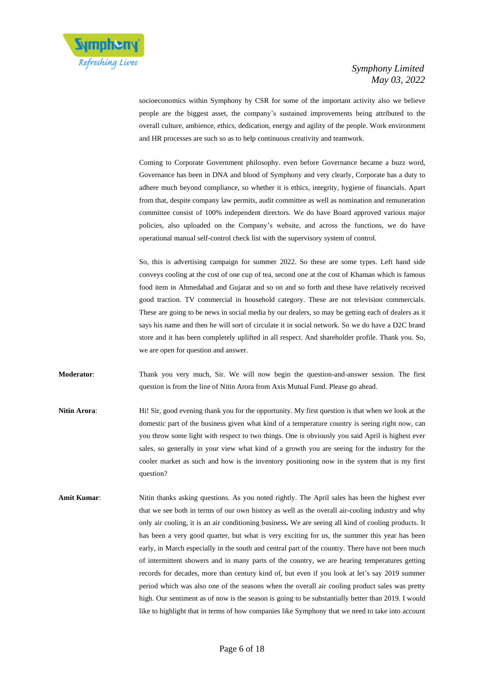

socioeconomics within Symphony by CSR for some of the important activity also we believe people are the biggest asset, the company's sustained improvements being attributed to the overall culture, ambience, ethics, dedication, energy and agility of the people. Work environment and HR processes are such so as to help continuous creativity and teamwork.

Coming to Corporate Government philosophy. even before Governance became a buzz word, Governance has been in DNA and blood of Symphony and very clearly, Corporate has a duty to adhere much beyond compliance, so whether it is ethics, integrity, hygiene of financials. Apart from that, despite company law permits, audit committee as well as nomination and remuneration committee consist of 100% independent directors. We do have Board approved various major policies, also uploaded on the Company's website, and across the functions, we do have operational manual self-control check list with the supervisory system of control.

So, this is advertising campaign for summer 2022. So these are some types. Left hand side conveys cooling at the cost of one cup of tea, second one at the cost of Khaman which is famous food item in Ahmedabad and Gujarat and so on and so forth and these have relatively received good traction. TV commercial in household category. These are not television commercials. These are going to be news in social media by our dealers, so may be getting each of dealers as it says his name and then he will sort of circulate it in social network. So we do have a D2C brand store and it has been completely uplifted in all respect. And shareholder profile. Thank you. So, we are open for question and answer.

**Moderator**: Thank you very much, Sir. We will now begin the question-and-answer session. The first question is from the line of Nitin Arora from Axis Mutual Fund. Please go ahead.

- **Nitin Arora:** Hi! Sir, good evening thank you for the opportunity. My first question is that when we look at the domestic part of the business given what kind of a temperature country is seeing right now, can you throw some light with respect to two things. One is obviously you said April is highest ever sales, so generally in your view what kind of a growth you are seeing for the industry for the cooler market as such and how is the inventory positioning now in the system that is my first question?
- **Amit Kumar:** Nitin thanks asking questions. As you noted rightly. The April sales has been the highest ever that we see both in terms of our own history as well as the overall air-cooling industry and why only air cooling, it is an air conditioning business**.** We are seeing all kind of cooling products. It has been a very good quarter, but what is very exciting for us, the summer this year has been early, in March especially in the south and central part of the country. There have not been much of intermittent showers and in many parts of the country, we are hearing temperatures getting records for decades, more than century kind of, but even if you look at let's say 2019 summer period which was also one of the seasons when the overall air cooling product sales was pretty high. Our sentiment as of now is the season is going to be substantially better than 2019. I would like to highlight that in terms of how companies like Symphony that we need to take into account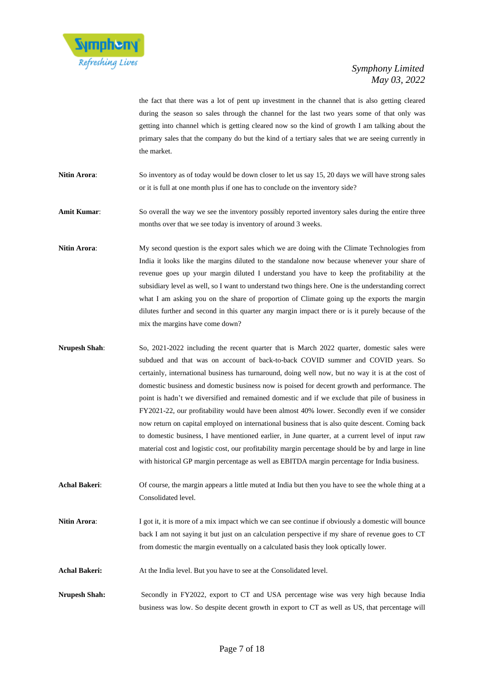

the fact that there was a lot of pent up investment in the channel that is also getting cleared during the season so sales through the channel for the last two years some of that only was getting into channel which is getting cleared now so the kind of growth I am talking about the primary sales that the company do but the kind of a tertiary sales that we are seeing currently in the market.

**Nitin Arora:** So inventory as of today would be down closer to let us say 15, 20 days we will have strong sales or it is full at one month plus if one has to conclude on the inventory side?

**Amit Kumar**: So overall the way we see the inventory possibly reported inventory sales during the entire three months over that we see today is inventory of around 3 weeks.

- **Nitin Arora:** My second question is the export sales which we are doing with the Climate Technologies from India it looks like the margins diluted to the standalone now because whenever your share of revenue goes up your margin diluted I understand you have to keep the profitability at the subsidiary level as well, so I want to understand two things here. One is the understanding correct what I am asking you on the share of proportion of Climate going up the exports the margin dilutes further and second in this quarter any margin impact there or is it purely because of the mix the margins have come down?
- **Nrupesh Shah**: So, 2021-2022 including the recent quarter that is March 2022 quarter, domestic sales were subdued and that was on account of back-to-back COVID summer and COVID years. So certainly, international business has turnaround, doing well now, but no way it is at the cost of domestic business and domestic business now is poised for decent growth and performance. The point is hadn't we diversified and remained domestic and if we exclude that pile of business in FY2021-22, our profitability would have been almost 40% lower. Secondly even if we consider now return on capital employed on international business that is also quite descent. Coming back to domestic business, I have mentioned earlier, in June quarter, at a current level of input raw material cost and logistic cost, our profitability margin percentage should be by and large in line with historical GP margin percentage as well as EBITDA margin percentage for India business.
- **Achal Bakeri**: Of course, the margin appears a little muted at India but then you have to see the whole thing at a Consolidated level.
- **Nitin Arora:** I got it, it is more of a mix impact which we can see continue if obviously a domestic will bounce back I am not saying it but just on an calculation perspective if my share of revenue goes to CT from domestic the margin eventually on a calculated basis they look optically lower.
- **Achal Bakeri:** At the India level. But you have to see at the Consolidated level.
- **Nrupesh Shah:** Secondly in FY2022, export to CT and USA percentage wise was very high because India business was low. So despite decent growth in export to CT as well as US, that percentage will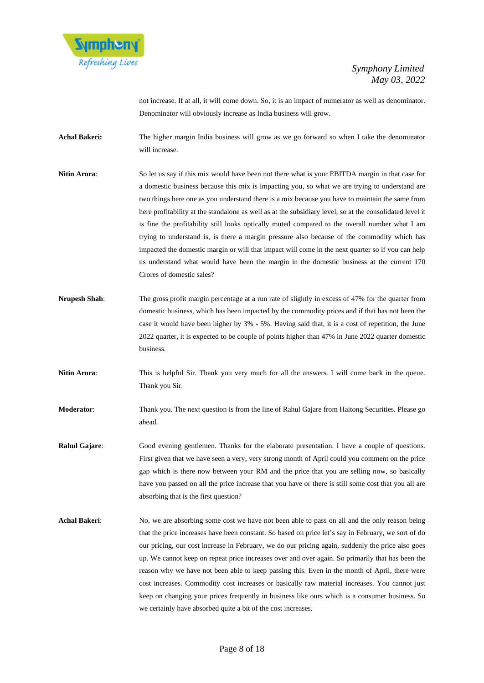

not increase. If at all, it will come down. So, it is an impact of numerator as well as denominator. Denominator will obviously increase as India business will grow.

- **Achal Bakeri:** The higher margin India business will grow as we go forward so when I take the denominator will increase.
- **Nitin Arora:** So let us say if this mix would have been not there what is your EBITDA margin in that case for a domestic business because this mix is impacting you, so what we are trying to understand are two things here one as you understand there is a mix because you have to maintain the same from here profitability at the standalone as well as at the subsidiary level, so at the consolidated level it is fine the profitability still looks optically muted compared to the overall number what I am trying to understand is, is there a margin pressure also because of the commodity which has impacted the domestic margin or will that impact will come in the next quarter so if you can help us understand what would have been the margin in the domestic business at the current 170 Crores of domestic sales?
- **Nrupesh Shah**: The gross profit margin percentage at a run rate of slightly in excess of 47% for the quarter from domestic business, which has been impacted by the commodity prices and if that has not been the case it would have been higher by 3% - 5%. Having said that, it is a cost of repetition, the June 2022 quarter, it is expected to be couple of points higher than 47% in June 2022 quarter domestic business.
- **Nitin Arora:** This is helpful Sir. Thank you very much for all the answers. I will come back in the queue. Thank you Sir.
- **Moderator**: Thank you. The next question is from the line of Rahul Gajare from Haitong Securities. Please go ahead.
- **Rahul Gajare:** Good evening gentlemen. Thanks for the elaborate presentation. I have a couple of questions. First given that we have seen a very, very strong month of April could you comment on the price gap which is there now between your RM and the price that you are selling now, so basically have you passed on all the price increase that you have or there is still some cost that you all are absorbing that is the first question?
- Achal Bakeri: No, we are absorbing some cost we have not been able to pass on all and the only reason being that the price increases have been constant. So based on price let's say in February, we sort of do our pricing, our cost increase in February, we do our pricing again, suddenly the price also goes up. We cannot keep on repeat price increases over and over again. So primarily that has been the reason why we have not been able to keep passing this. Even in the month of April, there were cost increases. Commodity cost increases or basically raw material increases. You cannot just keep on changing your prices frequently in business like ours which is a consumer business. So we certainly have absorbed quite a bit of the cost increases.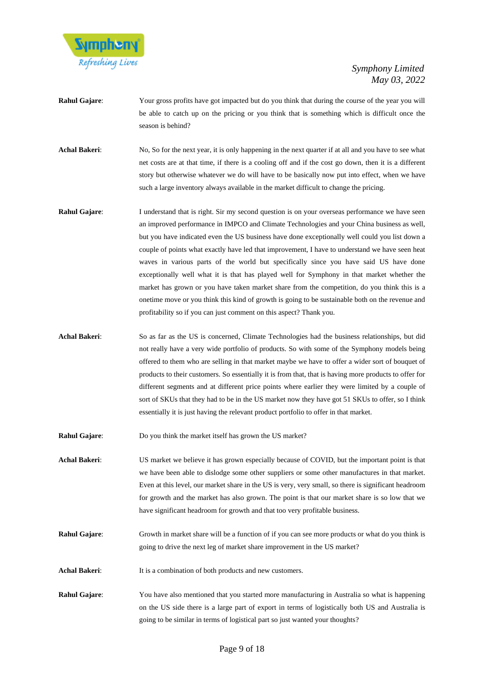

- **Rahul Gajare**: Your gross profits have got impacted but do you think that during the course of the year you will be able to catch up on the pricing or you think that is something which is difficult once the season is behind?
- **Achal Bakeri**: No, So for the next year, it is only happening in the next quarter if at all and you have to see what net costs are at that time, if there is a cooling off and if the cost go down, then it is a different story but otherwise whatever we do will have to be basically now put into effect, when we have such a large inventory always available in the market difficult to change the pricing.
- **Rahul Gajare:** I understand that is right. Sir my second question is on your overseas performance we have seen an improved performance in IMPCO and Climate Technologies and your China business as well, but you have indicated even the US business have done exceptionally well could you list down a couple of points what exactly have led that improvement, I have to understand we have seen heat waves in various parts of the world but specifically since you have said US have done exceptionally well what it is that has played well for Symphony in that market whether the market has grown or you have taken market share from the competition, do you think this is a onetime move or you think this kind of growth is going to be sustainable both on the revenue and profitability so if you can just comment on this aspect? Thank you.
- **Achal Bakeri**: So as far as the US is concerned, Climate Technologies had the business relationships, but did not really have a very wide portfolio of products. So with some of the Symphony models being offered to them who are selling in that market maybe we have to offer a wider sort of bouquet of products to their customers. So essentially it is from that, that is having more products to offer for different segments and at different price points where earlier they were limited by a couple of sort of SKUs that they had to be in the US market now they have got 51 SKUs to offer, so I think essentially it is just having the relevant product portfolio to offer in that market.
- **Rahul Gajare:** Do you think the market itself has grown the US market?
- **Achal Bakeri**: US market we believe it has grown especially because of COVID, but the important point is that we have been able to dislodge some other suppliers or some other manufactures in that market. Even at this level, our market share in the US is very, very small, so there is significant headroom for growth and the market has also grown. The point is that our market share is so low that we have significant headroom for growth and that too very profitable business.
- **Rahul Gajare:** Growth in market share will be a function of if you can see more products or what do you think is going to drive the next leg of market share improvement in the US market?
- Achal Bakeri: It is a combination of both products and new customers.
- **Rahul Gajare**: You have also mentioned that you started more manufacturing in Australia so what is happening on the US side there is a large part of export in terms of logistically both US and Australia is going to be similar in terms of logistical part so just wanted your thoughts?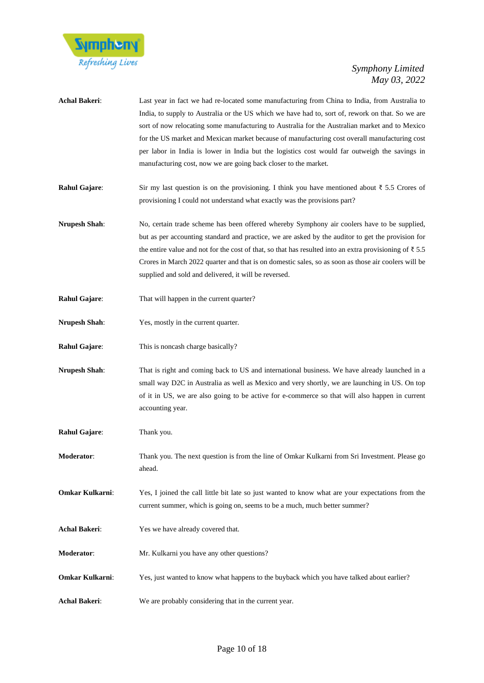

| Achal Bakeri:        | Last year in fact we had re-located some manufacturing from China to India, from Australia to<br>India, to supply to Australia or the US which we have had to, sort of, rework on that. So we are<br>sort of now relocating some manufacturing to Australia for the Australian market and to Mexico<br>for the US market and Mexican market because of manufacturing cost overall manufacturing cost<br>per labor in India is lower in India but the logistics cost would far outweigh the savings in<br>manufacturing cost, now we are going back closer to the market. |
|----------------------|--------------------------------------------------------------------------------------------------------------------------------------------------------------------------------------------------------------------------------------------------------------------------------------------------------------------------------------------------------------------------------------------------------------------------------------------------------------------------------------------------------------------------------------------------------------------------|
| Rahul Gajare:        | Sir my last question is on the provisioning. I think you have mentioned about $\bar{\xi}$ 5.5 Crores of<br>provisioning I could not understand what exactly was the provisions part?                                                                                                                                                                                                                                                                                                                                                                                     |
| <b>Nrupesh Shah:</b> | No, certain trade scheme has been offered whereby Symphony air coolers have to be supplied,<br>but as per accounting standard and practice, we are asked by the auditor to get the provision for<br>the entire value and not for the cost of that, so that has resulted into an extra provisioning of $\bar{\tau}$ 5.5<br>Crores in March 2022 quarter and that is on domestic sales, so as soon as those air coolers will be<br>supplied and sold and delivered, it will be reversed.                                                                                   |
| Rahul Gajare:        | That will happen in the current quarter?                                                                                                                                                                                                                                                                                                                                                                                                                                                                                                                                 |
| <b>Nrupesh Shah:</b> | Yes, mostly in the current quarter.                                                                                                                                                                                                                                                                                                                                                                                                                                                                                                                                      |
| Rahul Gajare:        | This is noncash charge basically?                                                                                                                                                                                                                                                                                                                                                                                                                                                                                                                                        |
| <b>Nrupesh Shah:</b> | That is right and coming back to US and international business. We have already launched in a<br>small way D2C in Australia as well as Mexico and very shortly, we are launching in US. On top<br>of it in US, we are also going to be active for e-commerce so that will also happen in current<br>accounting year.                                                                                                                                                                                                                                                     |
| Rahul Gajare:        | Thank you.                                                                                                                                                                                                                                                                                                                                                                                                                                                                                                                                                               |
| Moderator:           | Thank you. The next question is from the line of Omkar Kulkarni from Sri Investment. Please go<br>ahead.                                                                                                                                                                                                                                                                                                                                                                                                                                                                 |
| Omkar Kulkarni:      | Yes, I joined the call little bit late so just wanted to know what are your expectations from the<br>current summer, which is going on, seems to be a much, much better summer?                                                                                                                                                                                                                                                                                                                                                                                          |
| Achal Bakeri:        | Yes we have already covered that.                                                                                                                                                                                                                                                                                                                                                                                                                                                                                                                                        |
| Moderator:           | Mr. Kulkarni you have any other questions?                                                                                                                                                                                                                                                                                                                                                                                                                                                                                                                               |
| Omkar Kulkarni:      | Yes, just wanted to know what happens to the buyback which you have talked about earlier?                                                                                                                                                                                                                                                                                                                                                                                                                                                                                |

**Achal Bakeri**: We are probably considering that in the current year.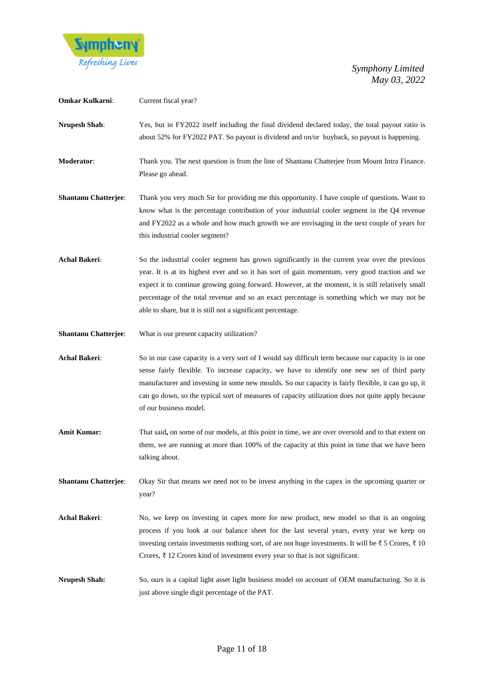

| Omkar Kulkarni:             | Current fiscal year?                                                                                                                                                                                                                                                                                                                                                                                                                                                 |
|-----------------------------|----------------------------------------------------------------------------------------------------------------------------------------------------------------------------------------------------------------------------------------------------------------------------------------------------------------------------------------------------------------------------------------------------------------------------------------------------------------------|
| <b>Nrupesh Shah:</b>        | Yes, but in FY2022 itself including the final dividend declared today, the total payout ratio is<br>about 52% for FY2022 PAT. So payout is dividend and on/or buyback, so payout is happening.                                                                                                                                                                                                                                                                       |
| Moderator:                  | Thank you. The next question is from the line of Shantanu Chatterjee from Mount Intra Finance.<br>Please go ahead.                                                                                                                                                                                                                                                                                                                                                   |
| <b>Shantanu Chatterjee:</b> | Thank you very much Sir for providing me this opportunity. I have couple of questions. Want to<br>know what is the percentage contribution of your industrial cooler segment in the Q4 revenue<br>and FY2022 as a whole and how much growth we are envisaging in the next couple of years for<br>this industrial cooler segment?                                                                                                                                     |
| <b>Achal Bakeri:</b>        | So the industrial cooler segment has grown significantly in the current year over the previous<br>year. It is at its highest ever and so it has sort of gain momentum, very good traction and we<br>expect it to continue growing going forward. However, at the moment, it is still relatively small<br>percentage of the total revenue and so an exact percentage is something which we may not be<br>able to share, but it is still not a significant percentage. |
| <b>Shantanu Chatterjee:</b> | What is our present capacity utilization?                                                                                                                                                                                                                                                                                                                                                                                                                            |
| Achal Bakeri:               | So in our case capacity is a very sort of I would say difficult term because our capacity is in one<br>sense fairly flexible. To increase capacity, we have to identify one new set of third party<br>manufacturer and investing in some new moulds. So our capacity is fairly flexible, it can go up, it<br>can go down, so the typical sort of measures of capacity utilization does not quite apply because<br>of our business model.                             |
| <b>Amit Kumar:</b>          | That said, on some of our models, at this point in time, we are over oversold and to that extent on<br>them, we are running at more than 100% of the capacity at this point in time that we have been<br>talking about.                                                                                                                                                                                                                                              |
| <b>Shantanu Chatterjee:</b> | Okay Sir that means we need not to be invest anything in the capex in the upcoming quarter or<br>year?                                                                                                                                                                                                                                                                                                                                                               |
| <b>Achal Bakeri:</b>        | No, we keep on investing in capex more for new product, new model so that is an ongoing<br>process if you look at our balance sheet for the last several years, every year we keep on<br>investing certain investments nothing sort, of are not huge investments. It will be $\xi$ 5 Crores, $\xi$ 10<br>Crores, $\bar{\tau}$ 12 Crores kind of investment every year so that is not significant.                                                                    |
| <b>Nrupesh Shah:</b>        | So, ours is a capital light asset light business model on account of OEM manufacturing. So it is<br>just above single digit percentage of the PAT.                                                                                                                                                                                                                                                                                                                   |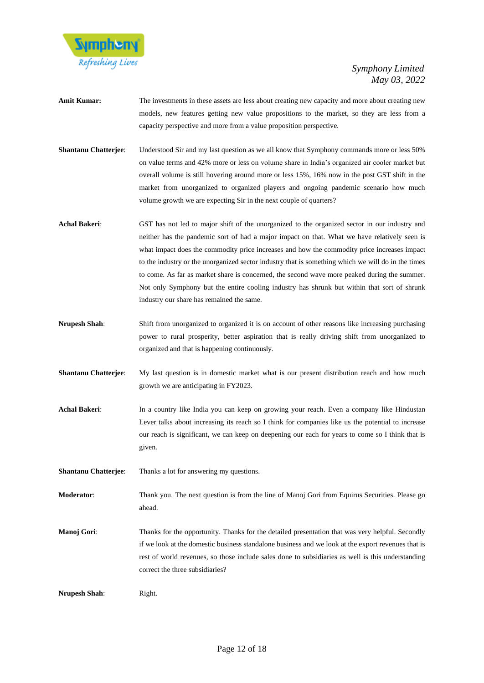

- **Amit Kumar:** The investments in these assets are less about creating new capacity and more about creating new models, new features getting new value propositions to the market, so they are less from a capacity perspective and more from a value proposition perspective.
- **Shantanu Chatterjee**: Understood Sir and my last question as we all know that Symphony commands more or less 50% on value terms and 42% more or less on volume share in India's organized air cooler market but overall volume is still hovering around more or less 15%, 16% now in the post GST shift in the market from unorganized to organized players and ongoing pandemic scenario how much volume growth we are expecting Sir in the next couple of quarters?
- **Achal Bakeri**: GST has not led to major shift of the unorganized to the organized sector in our industry and neither has the pandemic sort of had a major impact on that. What we have relatively seen is what impact does the commodity price increases and how the commodity price increases impact to the industry or the unorganized sector industry that is something which we will do in the times to come. As far as market share is concerned, the second wave more peaked during the summer. Not only Symphony but the entire cooling industry has shrunk but within that sort of shrunk industry our share has remained the same.
- **Nrupesh Shah:** Shift from unorganized to organized it is on account of other reasons like increasing purchasing power to rural prosperity, better aspiration that is really driving shift from unorganized to organized and that is happening continuously.
- **Shantanu Chatterjee**: My last question is in domestic market what is our present distribution reach and how much growth we are anticipating in FY2023.
- Achal Bakeri: In a country like India you can keep on growing your reach. Even a company like Hindustan Lever talks about increasing its reach so I think for companies like us the potential to increase our reach is significant, we can keep on deepening our each for years to come so I think that is given.
- **Shantanu Chatterjee:** Thanks a lot for answering my questions.
- **Moderator**: Thank you. The next question is from the line of Manoj Gori from Equirus Securities. Please go ahead.
- **Manoj Gori:** Thanks for the opportunity. Thanks for the detailed presentation that was very helpful. Secondly if we look at the domestic business standalone business and we look at the export revenues that is rest of world revenues, so those include sales done to subsidiaries as well is this understanding correct the three subsidiaries?

**Nrupesh Shah:** Right.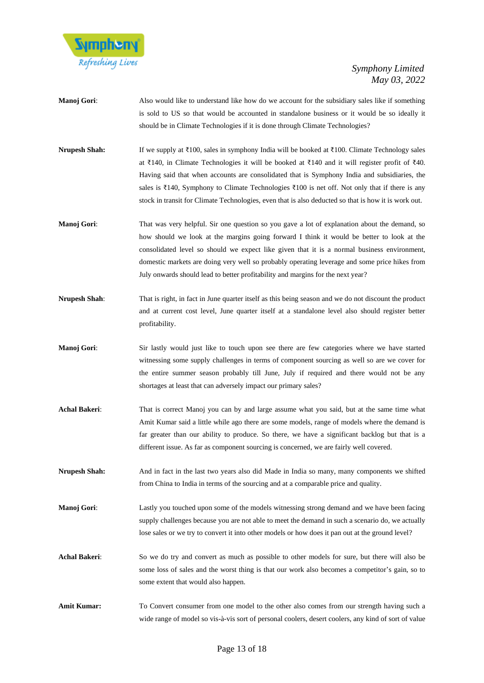

- **Manoj Gori:** Also would like to understand like how do we account for the subsidiary sales like if something is sold to US so that would be accounted in standalone business or it would be so ideally it should be in Climate Technologies if it is done through Climate Technologies?
- **Nrupesh Shah:** If we supply at ₹100, sales in symphony India will be booked at ₹100. Climate Technology sales at ₹140, in Climate Technologies it will be booked at ₹140 and it will register profit of ₹40. Having said that when accounts are consolidated that is Symphony India and subsidiaries, the sales is ₹140, Symphony to Climate Technologies ₹100 is net off. Not only that if there is any stock in transit for Climate Technologies, even that is also deducted so that is how it is work out.
- **Manoj Gori:** That was very helpful. Sir one question so you gave a lot of explanation about the demand, so how should we look at the margins going forward I think it would be better to look at the consolidated level so should we expect like given that it is a normal business environment, domestic markets are doing very well so probably operating leverage and some price hikes from July onwards should lead to better profitability and margins for the next year?
- **Nrupesh Shah:** That is right, in fact in June quarter itself as this being season and we do not discount the product and at current cost level, June quarter itself at a standalone level also should register better profitability.
- **Manoj Gori:** Sir lastly would just like to touch upon see there are few categories where we have started witnessing some supply challenges in terms of component sourcing as well so are we cover for the entire summer season probably till June, July if required and there would not be any shortages at least that can adversely impact our primary sales?
- **Achal Bakeri**: That is correct Manoj you can by and large assume what you said, but at the same time what Amit Kumar said a little while ago there are some models, range of models where the demand is far greater than our ability to produce. So there, we have a significant backlog but that is a different issue. As far as component sourcing is concerned, we are fairly well covered.
- **Nrupesh Shah:** And in fact in the last two years also did Made in India so many, many components we shifted from China to India in terms of the sourcing and at a comparable price and quality.
- **Manoj Gori:** Lastly you touched upon some of the models witnessing strong demand and we have been facing supply challenges because you are not able to meet the demand in such a scenario do, we actually lose sales or we try to convert it into other models or how does it pan out at the ground level?
- Achal Bakeri: So we do try and convert as much as possible to other models for sure, but there will also be some loss of sales and the worst thing is that our work also becomes a competitor's gain, so to some extent that would also happen.
- **Amit Kumar:** To Convert consumer from one model to the other also comes from our strength having such a wide range of model so vis-à-vis sort of personal coolers, desert coolers, any kind of sort of value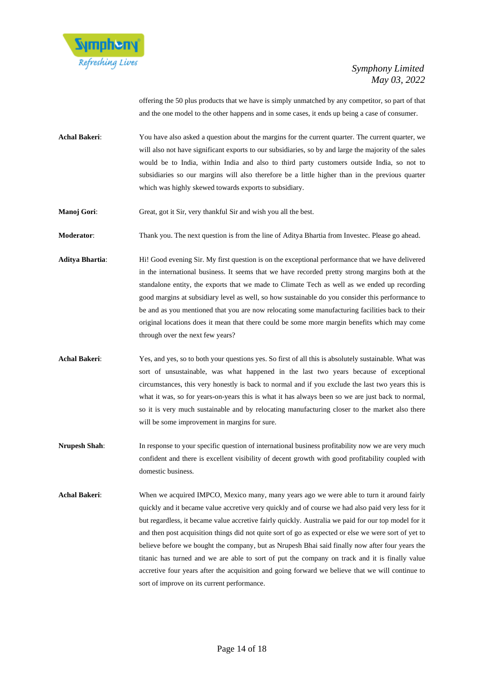

offering the 50 plus products that we have is simply unmatched by any competitor, so part of that and the one model to the other happens and in some cases, it ends up being a case of consumer.

- **Achal Bakeri**: You have also asked a question about the margins for the current quarter. The current quarter, we will also not have significant exports to our subsidiaries, so by and large the majority of the sales would be to India, within India and also to third party customers outside India, so not to subsidiaries so our margins will also therefore be a little higher than in the previous quarter which was highly skewed towards exports to subsidiary.
- **Manoj Gori:** Great, got it Sir, very thankful Sir and wish you all the best.

**Moderator**: Thank you. The next question is from the line of Aditya Bhartia from Investec. Please go ahead.

- **Aditya Bhartia**: Hi! Good evening Sir. My first question is on the exceptional performance that we have delivered in the international business. It seems that we have recorded pretty strong margins both at the standalone entity, the exports that we made to Climate Tech as well as we ended up recording good margins at subsidiary level as well, so how sustainable do you consider this performance to be and as you mentioned that you are now relocating some manufacturing facilities back to their original locations does it mean that there could be some more margin benefits which may come through over the next few years?
- **Achal Bakeri**: Yes, and yes, so to both your questions yes. So first of all this is absolutely sustainable. What was sort of unsustainable, was what happened in the last two years because of exceptional circumstances, this very honestly is back to normal and if you exclude the last two years this is what it was, so for years-on-years this is what it has always been so we are just back to normal, so it is very much sustainable and by relocating manufacturing closer to the market also there will be some improvement in margins for sure.
- **Nrupesh Shah:** In response to your specific question of international business profitability now we are very much confident and there is excellent visibility of decent growth with good profitability coupled with domestic business.
- **Achal Bakeri**: When we acquired IMPCO, Mexico many, many years ago we were able to turn it around fairly quickly and it became value accretive very quickly and of course we had also paid very less for it but regardless, it became value accretive fairly quickly. Australia we paid for our top model for it and then post acquisition things did not quite sort of go as expected or else we were sort of yet to believe before we bought the company, but as Nrupesh Bhai said finally now after four years the titanic has turned and we are able to sort of put the company on track and it is finally value accretive four years after the acquisition and going forward we believe that we will continue to sort of improve on its current performance.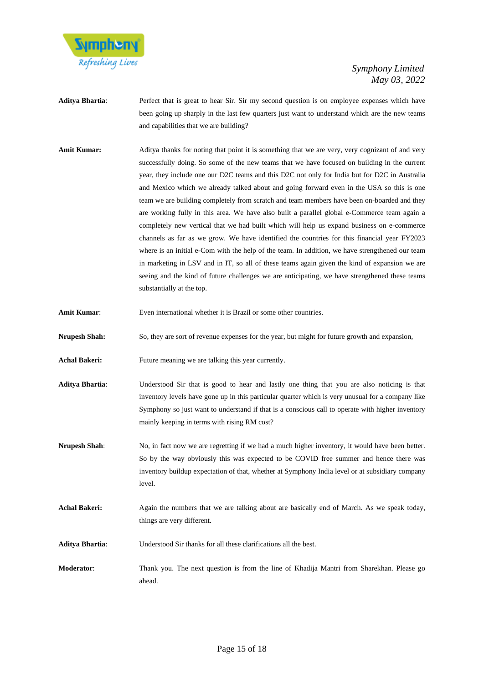

- **Aditya Bhartia**: Perfect that is great to hear Sir. Sir my second question is on employee expenses which have been going up sharply in the last few quarters just want to understand which are the new teams and capabilities that we are building?
- Amit Kumar: Aditya thanks for noting that point it is something that we are very, very cognizant of and very successfully doing. So some of the new teams that we have focused on building in the current year, they include one our D2C teams and this D2C not only for India but for D2C in Australia and Mexico which we already talked about and going forward even in the USA so this is one team we are building completely from scratch and team members have been on-boarded and they are working fully in this area. We have also built a parallel global e-Commerce team again a completely new vertical that we had built which will help us expand business on e-commerce channels as far as we grow. We have identified the countries for this financial year FY2023 where is an initial e-Com with the help of the team. In addition, we have strengthened our team in marketing in LSV and in IT, so all of these teams again given the kind of expansion we are seeing and the kind of future challenges we are anticipating, we have strengthened these teams substantially at the top.
- **Amit Kumar**: Even international whether it is Brazil or some other countries.
- **Nrupesh Shah:** So, they are sort of revenue expenses for the year, but might for future growth and expansion,

Achal Bakeri: Future meaning we are talking this year currently.

- **Aditya Bhartia**: Understood Sir that is good to hear and lastly one thing that you are also noticing is that inventory levels have gone up in this particular quarter which is very unusual for a company like Symphony so just want to understand if that is a conscious call to operate with higher inventory mainly keeping in terms with rising RM cost?
- **Nrupesh Shah**: No, in fact now we are regretting if we had a much higher inventory, it would have been better. So by the way obviously this was expected to be COVID free summer and hence there was inventory buildup expectation of that, whether at Symphony India level or at subsidiary company level.
- **Achal Bakeri:** Again the numbers that we are talking about are basically end of March. As we speak today, things are very different.
- **Aditya Bhartia**: Understood Sir thanks for all these clarifications all the best.
- **Moderator**: Thank you. The next question is from the line of Khadija Mantri from Sharekhan. Please go ahead.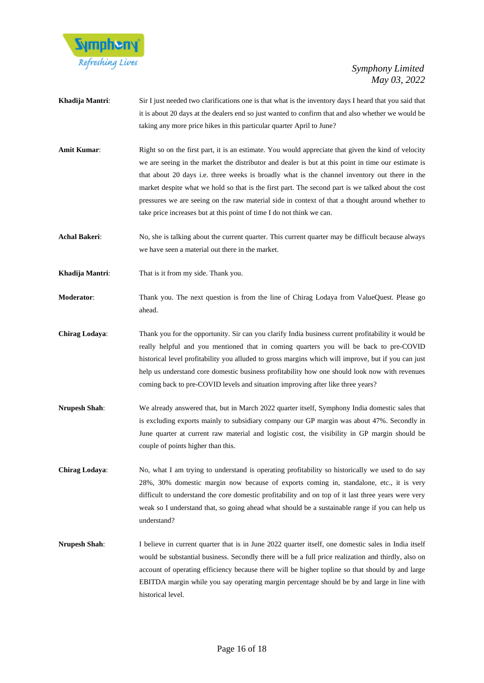

- **Khadija Mantri**: Sir I just needed two clarifications one is that what is the inventory days I heard that you said that it is about 20 days at the dealers end so just wanted to confirm that and also whether we would be taking any more price hikes in this particular quarter April to June?
- **Amit Kumar:** Right so on the first part, it is an estimate. You would appreciate that given the kind of velocity we are seeing in the market the distributor and dealer is but at this point in time our estimate is that about 20 days i.e. three weeks is broadly what is the channel inventory out there in the market despite what we hold so that is the first part. The second part is we talked about the cost pressures we are seeing on the raw material side in context of that a thought around whether to take price increases but at this point of time I do not think we can.

**Achal Bakeri:** No, she is talking about the current quarter. This current quarter may be difficult because always we have seen a material out there in the market.

- **Khadija Mantri**: That is it from my side. Thank you.
- **Moderator**: Thank you. The next question is from the line of Chirag Lodaya from ValueQuest. Please go ahead.
- **Chirag Lodaya**: Thank you for the opportunity. Sir can you clarify India business current profitability it would be really helpful and you mentioned that in coming quarters you will be back to pre-COVID historical level profitability you alluded to gross margins which will improve, but if you can just help us understand core domestic business profitability how one should look now with revenues coming back to pre-COVID levels and situation improving after like three years?
- **Nrupesh Shah**: We already answered that, but in March 2022 quarter itself, Symphony India domestic sales that is excluding exports mainly to subsidiary company our GP margin was about 47%. Secondly in June quarter at current raw material and logistic cost, the visibility in GP margin should be couple of points higher than this.
- **Chirag Lodaya:** No, what I am trying to understand is operating profitability so historically we used to do say 28%, 30% domestic margin now because of exports coming in, standalone, etc., it is very difficult to understand the core domestic profitability and on top of it last three years were very weak so I understand that, so going ahead what should be a sustainable range if you can help us understand?
- **Nrupesh Shah**: I believe in current quarter that is in June 2022 quarter itself, one domestic sales in India itself would be substantial business. Secondly there will be a full price realization and thirdly, also on account of operating efficiency because there will be higher topline so that should by and large EBITDA margin while you say operating margin percentage should be by and large in line with historical level.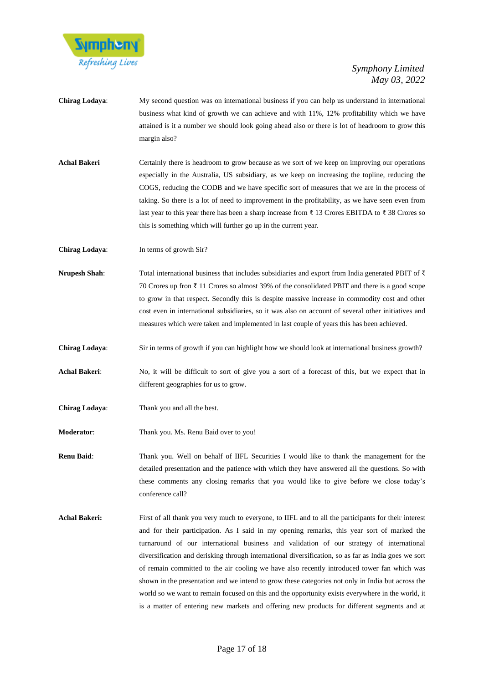

- **Chirag Lodaya**: My second question was on international business if you can help us understand in international business what kind of growth we can achieve and with 11%, 12% profitability which we have attained is it a number we should look going ahead also or there is lot of headroom to grow this margin also?
- Achal Bakeri Certainly there is headroom to grow because as we sort of we keep on improving our operations especially in the Australia, US subsidiary, as we keep on increasing the topline, reducing the COGS, reducing the CODB and we have specific sort of measures that we are in the process of taking. So there is a lot of need to improvement in the profitability, as we have seen even from last year to this year there has been a sharp increase from ₹ 13 Crores EBITDA to ₹ 38 Crores so this is something which will further go up in the current year.

**Chirag Lodaya**: In terms of growth Sir?

- **Nrupesh Shah:** Total international business that includes subsidiaries and export from India generated PBIT of ₹ 70 Crores up fron ₹ 11 Crores so almost 39% of the consolidated PBIT and there is a good scope to grow in that respect. Secondly this is despite massive increase in commodity cost and other cost even in international subsidiaries, so it was also on account of several other initiatives and measures which were taken and implemented in last couple of years this has been achieved.
- **Chirag Lodaya**: Sir in terms of growth if you can highlight how we should look at international business growth?
- **Achal Bakeri**: No, it will be difficult to sort of give you a sort of a forecast of this, but we expect that in different geographies for us to grow.
- **Chirag Lodaya**: Thank you and all the best.
- **Moderator:** Thank you. Ms. Renu Baid over to you!

**Renu Baid**: Thank you. Well on behalf of IIFL Securities I would like to thank the management for the detailed presentation and the patience with which they have answered all the questions. So with these comments any closing remarks that you would like to give before we close today's conference call?

Achal Bakeri: First of all thank you very much to everyone, to IIFL and to all the participants for their interest and for their participation. As I said in my opening remarks, this year sort of marked the turnaround of our international business and validation of our strategy of international diversification and derisking through international diversification, so as far as India goes we sort of remain committed to the air cooling we have also recently introduced tower fan which was shown in the presentation and we intend to grow these categories not only in India but across the world so we want to remain focused on this and the opportunity exists everywhere in the world, it is a matter of entering new markets and offering new products for different segments and at